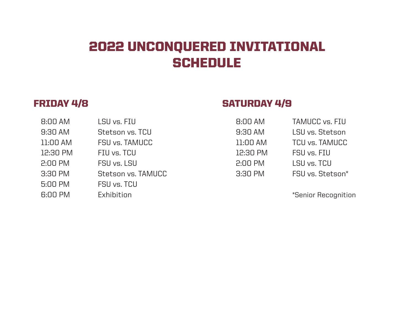# 2022 UNCONQUERED INVITATIONAL **SCHEDULE**

| 8:00 AM  | LSU vs. FIU        | 8:00 AM  | <b>TAMUCC vs. FIU</b> |
|----------|--------------------|----------|-----------------------|
| 9:30 AM  | Stetson vs. TCU    | 9:30 AM  | LSU vs. Stetson       |
| 11:00 AM | FSU vs. TAMUCC     | 11:00 AM | <b>TCU vs. TAMUCC</b> |
| 12:30 PM | FIU vs. TCU        | 12:30 PM | FSU vs. FIU           |
| 2:00 PM  | FSU vs. LSU        | 2:00 PM  | LSU vs. TCU           |
| 3:30 PM  | Stetson vs. TAMUCC | 3:30 PM  | FSU vs. Stetson*      |
| 5:00 PM  | FSU vs. TCU        |          |                       |
| 6:00 PM  | Exhibition         |          | *Senior Recogniti     |
|          |                    |          |                       |

## FRIDAY 4/8 SATURDAY 4/9

| 8:00 AM  | <b>TAMUCC vs. FIU</b> |
|----------|-----------------------|
| 9:30 AM  | LSU vs. Stetson       |
| l1:00 AM | <b>TCU vs. TAMUCC</b> |
| 12:30 PM | FSU vs. FIU           |
| 2:00 PM  | LSU vs. TCU           |
| 3:30 PM  | FSU vs. Stetson*      |

\*Senior Recognition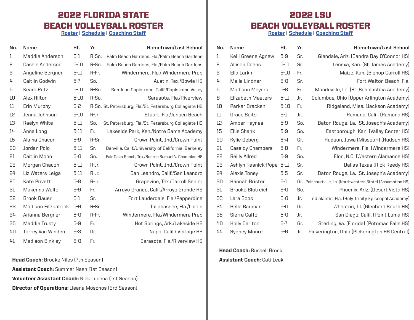#### 2022 FLORIDA STATE BEACH VOLLEYBALL ROSTER

Roster | Schedule | Coaching Staff

 $\sim$ 

| No.         | Name                       | Ht.      | Yr.   | Hometown/Last School                                    |
|-------------|----------------------------|----------|-------|---------------------------------------------------------|
| $\mathbf 1$ | Maddie Anderson            | $6-1$    | R-So. | Palm Beach Gardens, Fla./Palm Beach Gardens             |
| 5           | Cassie Anderson            | $5 - 10$ | R-So. | Palm Beach Gardens, Fla./Palm Beach Gardens             |
| З           | Angeline Bergner           | $5-11$   | R-Fr. | Windermere, Fla./ Windermere Prep                       |
| 4           | Caitlin Godwin             | $5 - 7$  | So.   | Austin, Tex./Bowie HS                                   |
| 5           | Keara Rutz                 | $5 - 10$ | R-So. | San Juan Capistrano, Calif./Capistrano Valley           |
| 10          | Alex Hilton                | $5 - 10$ | R-So. | Sarasota, Fla./Riverview                                |
| 11          | Erin Murphy                | 6-2      |       | R-So. St. Petersburg, Fla./St. Petersburg Collegiate HS |
| 12          | Jenna Johnson              | $5 - 10$ | R-Jr. | Stuart, Fla./Jensen Beach                               |
| 13          | Raelyn White               | 5-11     | So.   | St. Petersburg, Fla./St. Petersburg Collegiate HS       |
| 14          | Anna Long                  | $5-11$   | Fr.   | Lakeside Park, Ken./Notre Dame Academy                  |
| 15          | Alaina Chacon              | 5-9      | R-Sr. | Crown Point, Ind./Crown Point                           |
| 20          | Jordan Polo                | $5 - 11$ | Sr.   | Danville, Calif./University of California, Berkeley     |
| 51          | Caitlin Moon               | 6-0      | So.   | Fair Oaks Ranch, Tex./Boerne Samuel V. Champion HS      |
| 53          | Morgan Chacon              | $5 - 11$ | R-Jr. | Crown Point, Ind./Crown Point                           |
| 24          | Liz Waters-Leiga           | $5 - 11$ | R-Jr. | San Leandro, Calif./San Leandro                         |
| 25          | <b>Kate Privett</b>        | $5-8$    | R-Jr. | Grapevine, Tex./Carroll Senior                          |
| 31          | Makenna Wolfe              | $5-9$    | Fr.   | Arroyo Grande, Calif./Arroyo Grande HS                  |
| 35          | Brook Bauer                | 6-1      | Sr.   | Fort Lauderdale, Fla./Pepperdine                        |
| 33          | <b>Madison Fitzpatrick</b> | 5-9      | R-Sr. | Tallahassee, Fla./Linoln                                |
| 34          | Arianna Bergner            | 6-0      | R-Fr. | Windermere, Fla./Windermere Prep                        |
| 35          | Maddie Trusty              | 5-9      | Fr.   | Hot Springs, Ark./Lakeside HS                           |
| 40          | <b>Torrey Van Winden</b>   | 6-3      | Gr.   | Napa, Calif./Vintage HS                                 |
| 41          | <b>Madison Binkley</b>     | 6-0      | Fr.   | Sarasota, Fla./Riverview HS                             |

**Head Coach:** Brooke Niles (7th Season) Assistant Coach: Summer Nash (1st Season) Volunteer Assistant Coach: Nick Lucena (1st Season) Director of Operations: Ileana Moschos (3rd Season)

#### 2022 LSU BEACH VOLLEYBALL ROSTER

Roster | Schedule | Coaching Staff

| No. | Name                     | Ht.      | Yr. | <b>Hometown/Last School</b>                                  |
|-----|--------------------------|----------|-----|--------------------------------------------------------------|
| 1   | Kelli Greene-Agnew       | 5-9      | Sr. | Glendale, Ariz. (Sandra Day O'Connor HS)                     |
| 5   | <b>Allison Coens</b>     | $5 - 11$ | Sr. | Lenexa, Kan. (St. James Academy)                             |
| З   | Ella Larkin              | $5 - 10$ | Fr. | Maize, Kan. (Bishop Carroll HS)                              |
| 4   | Melia Lindner            | 6-0      | Sr. | Fort Walton Beach, Fla.                                      |
| 5   | <b>Madison Meyers</b>    | 5-8      | Fr. | Mandeville, La. (St. Scholastica Academy)                    |
| 8   | <b>Elizabeth Masters</b> | 5-11     | Jr. | Columbus, Ohio (Upper Arlington Academy)                     |
| 10  | Parker Bracken           | $5 - 10$ | Fr. | Ridgeland, Miss. (Jackson Academy)                           |
| 11  | <b>Grace Seits</b>       | 6-1      | Jr. | Ramona, Calif. (Ramona HS)                                   |
| 12  | Amber Haynes             | 5-9      | So. | Baton Rouge, La. (St. Joseph's Academy)                      |
| 15  | <b>Ellie Shank</b>       | 5-9      | So. | Eastborough, Kan. (Valley Center HS)                         |
| 20  | Kylie Deberg             | 6-4      | Gr. | Hudson, Iowa (Missouri) (Hudson HS)                          |
| 51  | <b>Cassidy Chambers</b>  | 5-8      | Fr. | Windermere, Fla. (Windermere HS)                             |
| 55  | Reilly Allred            | 5-9      | So. | Elon, N.C. (Western Alamance HS)                             |
| 53  | Ashlyn Rasnick-Pope 5-11 |          | Sr. | Dallas Texas (Rick Reedy HS)                                 |
| 24  | Alexis Toney             | 5-5      | Sr. | Baton Rouge, La. (St. Joseph's Academy)                      |
| 30  | Hannah Brister           | 6-1      |     | Gr. Paincourtville, La. (Northwestern State) (Assumption HS) |
| 31  | <b>Brooke Blutreich</b>  | 6-0      | So. | Phoenix, Ariz. (Desert Vista HS)                             |
| 33  | Lara Boos                | 6-0      | Jr. | Indialantic, Fla. (Holy Trinity Episcopal Academy)           |
| 34  | Bella Bauman             | 6-0      | Gr. | Wheaton, Ill. (Glenbard South HS)                            |
| 35  | Sierra Caffo             | 6-0      | Jr. | San Diego, Calif. (Point Loma HS)                            |
| 40  | <b>Holly Carlton</b>     | $6-7$    | Gr. | Sterling, Va. (Florida) (Potomac Falls HS)                   |
| 44  | <b>Sydney Moore</b>      | 5-6      | Jr. | Pickerington, Ohio (Pickerington HS Central)                 |

**Head Coach: Russell Brock** Assistant Coach: Cati Leak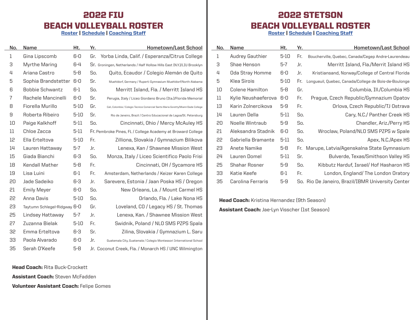#### 2022 FIU BEACH VOLLEYBALL ROSTER

Roster | Schedule | Coaching Staff

| No. | Name                         | Ht.      | Yr. | <b>Hometown/Last School</b>                                                       |
|-----|------------------------------|----------|-----|-----------------------------------------------------------------------------------|
| 1   | Gina Lipscomb                | 6-0      | Gr. | Yorba Linda, Calif. / Esperanza/Citrus College                                    |
| З   | Myrthe Maring                | 6-4      |     | Sr. Groningen, Netherlands / Half Hollow Hills East (N.Y.)/LIU Brooklyn           |
| 4   | Ariana Castro                | $5 - 8$  | So. | Quito, Ecaudor / Colegio Alemán de Quito                                          |
| 5   | Sophia Brandstetter          | 6-0      | Sr. | Muehldorf, Germany / Ruperti Gymnasium Muehldorf/North Alabama                    |
| 6   | <b>Bobbie Schwantz</b>       | 6-1      | So. | Merritt Island, Fla. / Merritt Island HS                                          |
| 7   | Rachele Mancinelli           | 6-0      | Sr. | Perugia, Italy / Liceo Giordano Bruno (Ita.)/Florida Memorial                     |
| 8   | Fiorella Murillo             | $5 - 10$ | Gr. | Cali, Colombia / Colegio Tecnice Comercial Sants Maria Goretty/Miami-Dade College |
| 9   | Roberta Ribeiro              | 5-10     | Sr. | Rio de Janeiro, Brazil / Centro Educacional de Lagoa/St. Petersburg               |
| 10  | Paige Kalkhoff               | 5-11     | So. | Cincinnati, Ohio / Mercy McAuley HS                                               |
| 11  | Chloe Zacca                  | 5-11     |     | Fr. Pembroke Pines, FL / College Academy at Broward College                       |
| 12  | Ella Erteltova               | $5 - 10$ | Fr. | Zilliona, Slovakia / Gymnazium Bilikova                                           |
| 14  | Lauren Hattaway              | $5-7$    | Jr. | Lenexa, Kan / Shawnee Mission West                                                |
| 15  | Giada Bianchi                | 6-3      | So. | Monza, Italy / Liceo Scientifico Paolo Frisi                                      |
| 18  | Kendall Mather               | 5-8      | Fr. | Cincinnati, OH / Sycamore HS                                                      |
| 19  | Lisa Luini                   | 6-1      | Fr. | Amsterdam, Netherlands / Keizer Karen College                                     |
| 20  | Jade Sadeiko                 | 6-3      | Jr. | Sarevere, Estonia / Jaan Poska HS / Oregon                                        |
| 51  | <b>Emily Meyer</b>           | 6-0      | So. | New Orleans, La. / Mount Carmel HS                                                |
| 55  | Anna Davis                   | $5 - 10$ | So. | Orlando, Fla. / Lake Nona HS                                                      |
| 53  | Taytumn Schlegel-Ridgway 6-0 |          | Gr. | Loveland, CO / Legacy HS / St. Thomas                                             |
| 25  | Lindsey Hattaway             | 5-7      | Jr. | Lenexa, Kan. / Shawnee Mission West                                               |
| 27  | Zuzanna Bielak               | 5-10     | Fr. | Swidnik, Poland / NLO SMS PZPS Spala                                              |
| 35  | Emma Erteltova               | 6-3      | Sr. | Zilina, Slovakia / Gymnazium L. Saru                                              |
| 33  | Paola Alvarado               | 6-0      | Jr. | Guatemala City, Guatemala / Colegio Montessori International School               |
| 35  | Serah O'Keefe                | $5 - 8$  |     | Jr. Coconut Creek, Fla. / Monarch HS / UNC Wilmington                             |

#### **Head Coach: Rita Buck-Crockett**

 $\overline{\phantom{a}}$ 

Assistant Coach: Steven McFadden

Volunteer Assistant Coach: Felipe Gomes

### 2022 STETSON BEACH VOLLEYBALL ROSTER

Roster | Schedule | Coaching Staff

| No. | Name                | Ht.      | Yr. | Hometown/Last School                                  |
|-----|---------------------|----------|-----|-------------------------------------------------------|
| 1   | Audrey Gauthier     | $5-10$   | Fr. | Boucherville, Quebec, Canada/Cegep Andre-Laurendeau   |
| 3   | Shae Henson         | 5-7      | Jr. | Merritt Island, Fla./Merrit Island HS                 |
| 4   | Oda Stray Homme     | 6-0      | Jr. | Kristiansand, Norway/College of Central Florida       |
| 5   | Klea Sirois         | $5 - 10$ | Fr. | Longueuil, Quebec, Canada/College de Bois-de-Boulonge |
| 10  | Colene Hamilton     | 5-8      | Gr. | Columbia, Ill./Columbia HS                            |
| 11  | Kylie Neushaeferova | 6-0      | Fr. | Prague, Czech Republic/Gymnazium Opatov               |
| 13  | Karin Zolnercikova  | 5-9      | Fr. | Orlova, Czech Republic/TJ Ostrava                     |
| 14  | Lauren Della        | 5-11     | So. | Cary, N.C./ Panther Creek HS                          |
| 20  | Noelle Wintraub     | 5-9      | So. | Chandler, Ariz./Perry HS                              |
| 51  | Aleksandra Stadnik  | 6-0      | So. | Wroclaw, Poland/NLO SMS PZPS w Spale                  |
| 22  | Gabriella Bramante  | $5-11$   | So. | Apex, N.C./Apex HS                                    |
| 53  | Anete Namike        | 5-8      | Fr. | Marupe, Latvia/Agenskalna State Gymnasium             |
| 24  | Lauren Domel        | $5 - 11$ | Sr. | Bulverde, Texas/Smithson Valley HS                    |
| 25  | Shahar Rosner       | 5-9      | So. | Kibbutz Harduf, Israel/ Hof Hasharon HS               |
| 33  | Katie Keefe         | 6-1      | Fr. | London, England/The London Oratory                    |
| 35  | Carolina Ferraris   | $5 - 9$  |     | So. Rio De Janeiro, Brazil/IBMR University Center     |

**Head Coach:** Kristina Hernandez (9th Season) Assistant Coach: Jae-Lyn Visscher (1st Season)